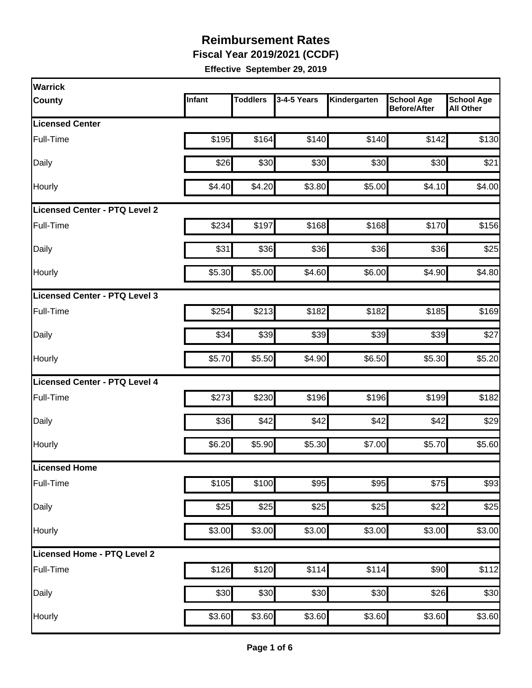**Fiscal Year 2019/2021 (CCDF)**

| Warrick                              |        |                 |             |              |                                          |                                       |
|--------------------------------------|--------|-----------------|-------------|--------------|------------------------------------------|---------------------------------------|
| <b>County</b>                        | Infant | <b>Toddlers</b> | 3-4-5 Years | Kindergarten | <b>School Age</b><br><b>Before/After</b> | <b>School Age</b><br><b>All Other</b> |
| <b>Licensed Center</b>               |        |                 |             |              |                                          |                                       |
| Full-Time                            | \$195  | \$164           | \$140       | \$140        | \$142                                    | \$130                                 |
| Daily                                | \$26   | \$30            | \$30        | \$30         | \$30                                     | \$21                                  |
| Hourly                               | \$4.40 | \$4.20          | \$3.80      | \$5.00       | \$4.10                                   | \$4.00                                |
| <b>Licensed Center - PTQ Level 2</b> |        |                 |             |              |                                          |                                       |
| Full-Time                            | \$234  | \$197           | \$168       | \$168        | \$170                                    | \$156                                 |
| Daily                                | \$31   | \$36            | \$36        | \$36         | \$36                                     | \$25                                  |
| Hourly                               | \$5.30 | \$5.00          | \$4.60      | \$6.00       | \$4.90                                   | \$4.80                                |
| Licensed Center - PTQ Level 3        |        |                 |             |              |                                          |                                       |
| Full-Time                            | \$254  | \$213           | \$182       | \$182        | \$185                                    | \$169                                 |
| Daily                                | \$34   | \$39            | \$39        | \$39         | \$39                                     | \$27                                  |
| Hourly                               | \$5.70 | \$5.50          | \$4.90      | \$6.50       | \$5.30                                   | \$5.20                                |
| Licensed Center - PTQ Level 4        |        |                 |             |              |                                          |                                       |
| Full-Time                            | \$273  | \$230           | \$196       | \$196        | \$199                                    | \$182                                 |
| Daily                                | \$36   | \$42            | \$42        | \$42         | \$42                                     | \$29                                  |
| Hourly                               | \$6.20 | \$5.90          | \$5.30      | \$7.00       | \$5.70                                   | \$5.60                                |
| <b>Licensed Home</b>                 |        |                 |             |              |                                          |                                       |
| Full-Time                            | \$105  | \$100           | \$95        | \$95         | \$75                                     | \$93                                  |
| Daily                                | \$25   | \$25            | \$25        | \$25         | \$22                                     | \$25                                  |
| Hourly                               | \$3.00 | \$3.00          | \$3.00      | \$3.00       | \$3.00                                   | \$3.00                                |
| Licensed Home - PTQ Level 2          |        |                 |             |              |                                          |                                       |
| Full-Time                            | \$126  | \$120           | \$114       | \$114        | \$90                                     | \$112                                 |
| Daily                                | \$30   | \$30            | \$30        | \$30         | \$26                                     | \$30                                  |
| Hourly                               | \$3.60 | \$3.60          | \$3.60      | \$3.60       | \$3.60                                   | \$3.60                                |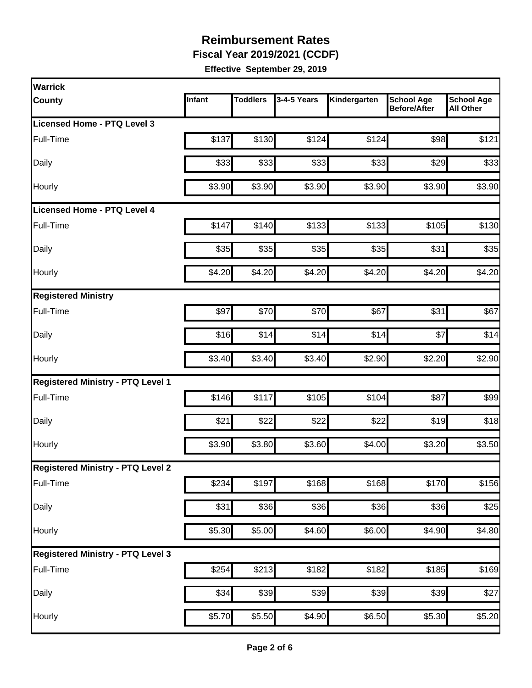**Fiscal Year 2019/2021 (CCDF)**

| Warrick                                  |        |                 |             |                    |                                          |                                       |
|------------------------------------------|--------|-----------------|-------------|--------------------|------------------------------------------|---------------------------------------|
| <b>County</b>                            | Infant | <b>Toddlers</b> | 3-4-5 Years | Kindergarten       | <b>School Age</b><br><b>Before/After</b> | <b>School Age</b><br><b>All Other</b> |
| Licensed Home - PTQ Level 3              |        |                 |             |                    |                                          |                                       |
| Full-Time                                | \$137  | \$130           | \$124       | \$124              | \$98                                     | \$121                                 |
| Daily                                    | \$33   | \$33            | \$33        | \$33               | \$29                                     | \$33                                  |
| Hourly                                   | \$3.90 | \$3.90          | \$3.90      | \$3.90             | \$3.90                                   | \$3.90                                |
| <b>Licensed Home - PTQ Level 4</b>       |        |                 |             |                    |                                          |                                       |
| Full-Time                                | \$147  | \$140           | \$133       | \$133              | \$105                                    | \$130                                 |
| Daily                                    | \$35   | \$35            | \$35        | \$35               | \$31                                     | \$35                                  |
| Hourly                                   | \$4.20 | \$4.20          | \$4.20      | \$4.20             | \$4.20                                   | \$4.20                                |
| <b>Registered Ministry</b>               |        |                 |             |                    |                                          |                                       |
| Full-Time                                | \$97   | \$70            | \$70        | \$67               | \$31                                     | \$67                                  |
| Daily                                    | \$16   | \$14            | \$14        | \$14               | \$7                                      | \$14                                  |
| Hourly                                   | \$3.40 | \$3.40          | \$3.40      | \$2.90             | \$2.20                                   | \$2.90                                |
| <b>Registered Ministry - PTQ Level 1</b> |        |                 |             |                    |                                          |                                       |
| Full-Time                                | \$146  | \$117           | \$105       | \$104              | \$87                                     | \$99                                  |
| Daily                                    | \$21   | \$22            | \$22        | \$22               | \$19                                     | \$18                                  |
| Hourly                                   | \$3.90 | \$3.80          | \$3.60      | \$4.00             | \$3.20                                   | \$3.50                                |
| <b>Registered Ministry - PTQ Level 2</b> |        |                 |             |                    |                                          |                                       |
| Full-Time                                | \$234  | \$197           | \$168       | \$168              | \$170                                    | \$156                                 |
| <b>Daily</b>                             | \$31   | \$36            | \$36        | \$36               | \$36                                     | \$25                                  |
| Hourly                                   | \$5.30 | \$5.00          | \$4.60      | \$6.00             | \$4.90                                   | \$4.80                                |
| <b>Registered Ministry - PTQ Level 3</b> |        |                 |             |                    |                                          |                                       |
| Full-Time                                | \$254  | \$213           | \$182       | \$182              | \$185                                    | \$169                                 |
| Daily                                    | \$34   | \$39            | \$39        | \$39               | \$39                                     | \$27                                  |
| Hourly                                   | \$5.70 | \$5.50          | \$4.90      | $\overline{$6.50}$ | \$5.30                                   | \$5.20                                |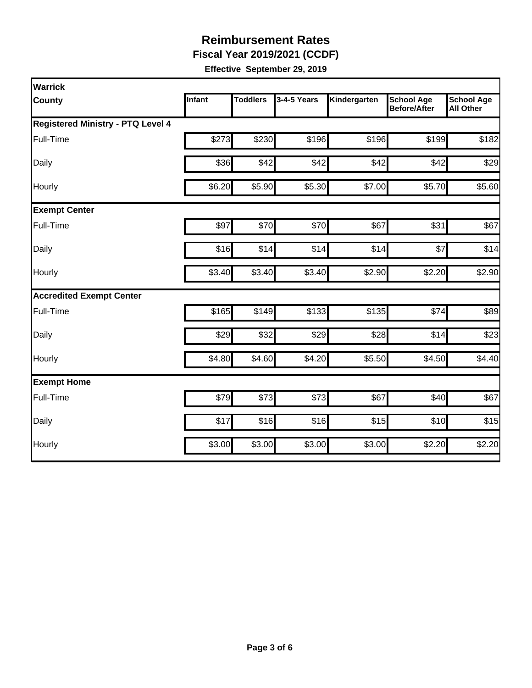**Fiscal Year 2019/2021 (CCDF)**

| <b>Warrick</b>                           |               |                 |             |              |                                          |                                       |
|------------------------------------------|---------------|-----------------|-------------|--------------|------------------------------------------|---------------------------------------|
| <b>County</b>                            | <b>Infant</b> | <b>Toddlers</b> | 3-4-5 Years | Kindergarten | <b>School Age</b><br><b>Before/After</b> | <b>School Age</b><br><b>All Other</b> |
| <b>Registered Ministry - PTQ Level 4</b> |               |                 |             |              |                                          |                                       |
| Full-Time                                | \$273         | \$230           | \$196       | \$196        | \$199                                    | \$182                                 |
| Daily                                    | \$36          | \$42            | \$42        | \$42         | \$42                                     | \$29                                  |
| Hourly                                   | \$6.20        | \$5.90          | \$5.30      | \$7.00       | \$5.70                                   | \$5.60                                |
| <b>Exempt Center</b>                     |               |                 |             |              |                                          |                                       |
| Full-Time                                | \$97          | \$70            | \$70        | \$67         | \$31                                     | \$67                                  |
| Daily                                    | \$16          | \$14            | \$14        | \$14         | \$7                                      | \$14                                  |
| Hourly                                   | \$3.40        | \$3.40          | \$3.40      | \$2.90       | \$2.20                                   | \$2.90                                |
| <b>Accredited Exempt Center</b>          |               |                 |             |              |                                          |                                       |
| Full-Time                                | \$165         | \$149           | \$133       | \$135        | \$74                                     | \$89                                  |
| Daily                                    | \$29          | \$32            | \$29        | \$28         | \$14                                     | \$23                                  |
| Hourly                                   | \$4.80        | \$4.60          | \$4.20      | \$5.50       | \$4.50                                   | \$4.40                                |
| <b>Exempt Home</b>                       |               |                 |             |              |                                          |                                       |
| Full-Time                                | \$79          | \$73            | \$73        | \$67         | \$40                                     | \$67                                  |
| Daily                                    | \$17          | \$16            | \$16        | \$15         | \$10                                     | \$15                                  |
| Hourly                                   | \$3.00        | \$3.00          | \$3.00      | \$3.00       | \$2.20                                   | \$2.20                                |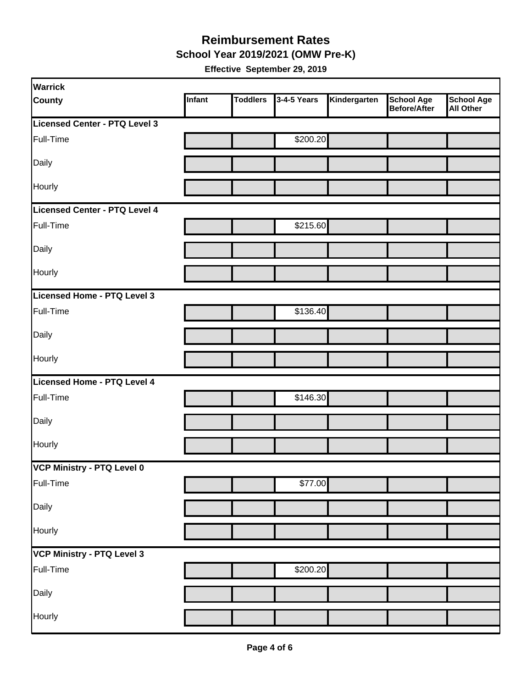**School Year 2019/2021 (OMW Pre-K)**

| <b>Warrick</b>                |        |                 |             |              |                                          |                         |
|-------------------------------|--------|-----------------|-------------|--------------|------------------------------------------|-------------------------|
| <b>County</b>                 | Infant | <b>Toddlers</b> | 3-4-5 Years | Kindergarten | <b>School Age</b><br><b>Before/After</b> | School Age<br>All Other |
| Licensed Center - PTQ Level 3 |        |                 |             |              |                                          |                         |
| Full-Time                     |        |                 | \$200.20    |              |                                          |                         |
| Daily                         |        |                 |             |              |                                          |                         |
| Hourly                        |        |                 |             |              |                                          |                         |
| Licensed Center - PTQ Level 4 |        |                 |             |              |                                          |                         |
| Full-Time                     |        |                 | \$215.60    |              |                                          |                         |
| Daily                         |        |                 |             |              |                                          |                         |
| Hourly                        |        |                 |             |              |                                          |                         |
| Licensed Home - PTQ Level 3   |        |                 |             |              |                                          |                         |
| Full-Time                     |        |                 | \$136.40    |              |                                          |                         |
| Daily                         |        |                 |             |              |                                          |                         |
| Hourly                        |        |                 |             |              |                                          |                         |
| Licensed Home - PTQ Level 4   |        |                 |             |              |                                          |                         |
| Full-Time                     |        |                 | \$146.30    |              |                                          |                         |
| Daily                         |        |                 |             |              |                                          |                         |
| Hourly                        |        |                 |             |              |                                          |                         |
| VCP Ministry - PTQ Level 0    |        |                 |             |              |                                          |                         |
| Full-Time                     |        |                 | \$77.00     |              |                                          |                         |
| Daily                         |        |                 |             |              |                                          |                         |
| Hourly                        |        |                 |             |              |                                          |                         |
| VCP Ministry - PTQ Level 3    |        |                 |             |              |                                          |                         |
| Full-Time                     |        |                 | \$200.20    |              |                                          |                         |
| Daily                         |        |                 |             |              |                                          |                         |
| Hourly                        |        |                 |             |              |                                          |                         |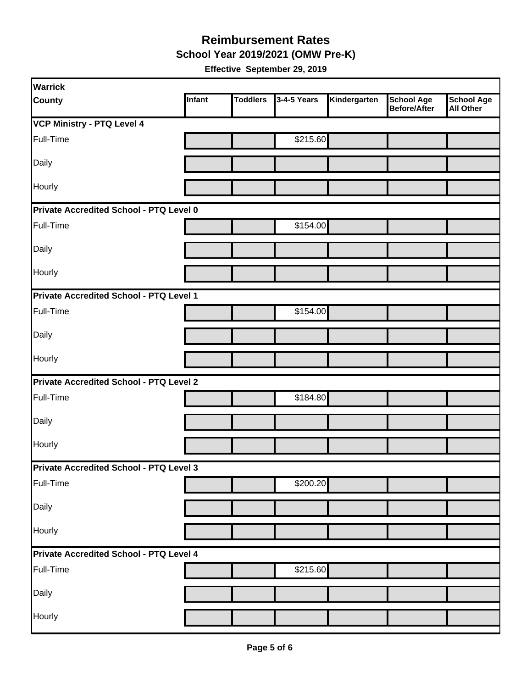**School Year 2019/2021 (OMW Pre-K)**

| Warrick                                 |        |                 |             |              |                                          |                                       |
|-----------------------------------------|--------|-----------------|-------------|--------------|------------------------------------------|---------------------------------------|
| County                                  | Infant | <b>Toddlers</b> | 3-4-5 Years | Kindergarten | <b>School Age</b><br><b>Before/After</b> | <b>School Age</b><br><b>All Other</b> |
| <b>VCP Ministry - PTQ Level 4</b>       |        |                 |             |              |                                          |                                       |
| Full-Time                               |        |                 | \$215.60    |              |                                          |                                       |
| Daily                                   |        |                 |             |              |                                          |                                       |
| Hourly                                  |        |                 |             |              |                                          |                                       |
| Private Accredited School - PTQ Level 0 |        |                 |             |              |                                          |                                       |
| Full-Time                               |        |                 | \$154.00    |              |                                          |                                       |
| Daily                                   |        |                 |             |              |                                          |                                       |
| Hourly                                  |        |                 |             |              |                                          |                                       |
| Private Accredited School - PTQ Level 1 |        |                 |             |              |                                          |                                       |
| Full-Time                               |        |                 | \$154.00    |              |                                          |                                       |
| Daily                                   |        |                 |             |              |                                          |                                       |
| Hourly                                  |        |                 |             |              |                                          |                                       |
| Private Accredited School - PTQ Level 2 |        |                 |             |              |                                          |                                       |
| Full-Time                               |        |                 | \$184.80    |              |                                          |                                       |
| Daily                                   |        |                 |             |              |                                          |                                       |
| Hourly                                  |        |                 |             |              |                                          |                                       |
| Private Accredited School - PTQ Level 3 |        |                 |             |              |                                          |                                       |
| Full-Time                               |        |                 | \$200.20    |              |                                          |                                       |
| Daily                                   |        |                 |             |              |                                          |                                       |
| Hourly                                  |        |                 |             |              |                                          |                                       |
| Private Accredited School - PTQ Level 4 |        |                 |             |              |                                          |                                       |
| Full-Time                               |        |                 | \$215.60    |              |                                          |                                       |
| Daily                                   |        |                 |             |              |                                          |                                       |
| Hourly                                  |        |                 |             |              |                                          |                                       |